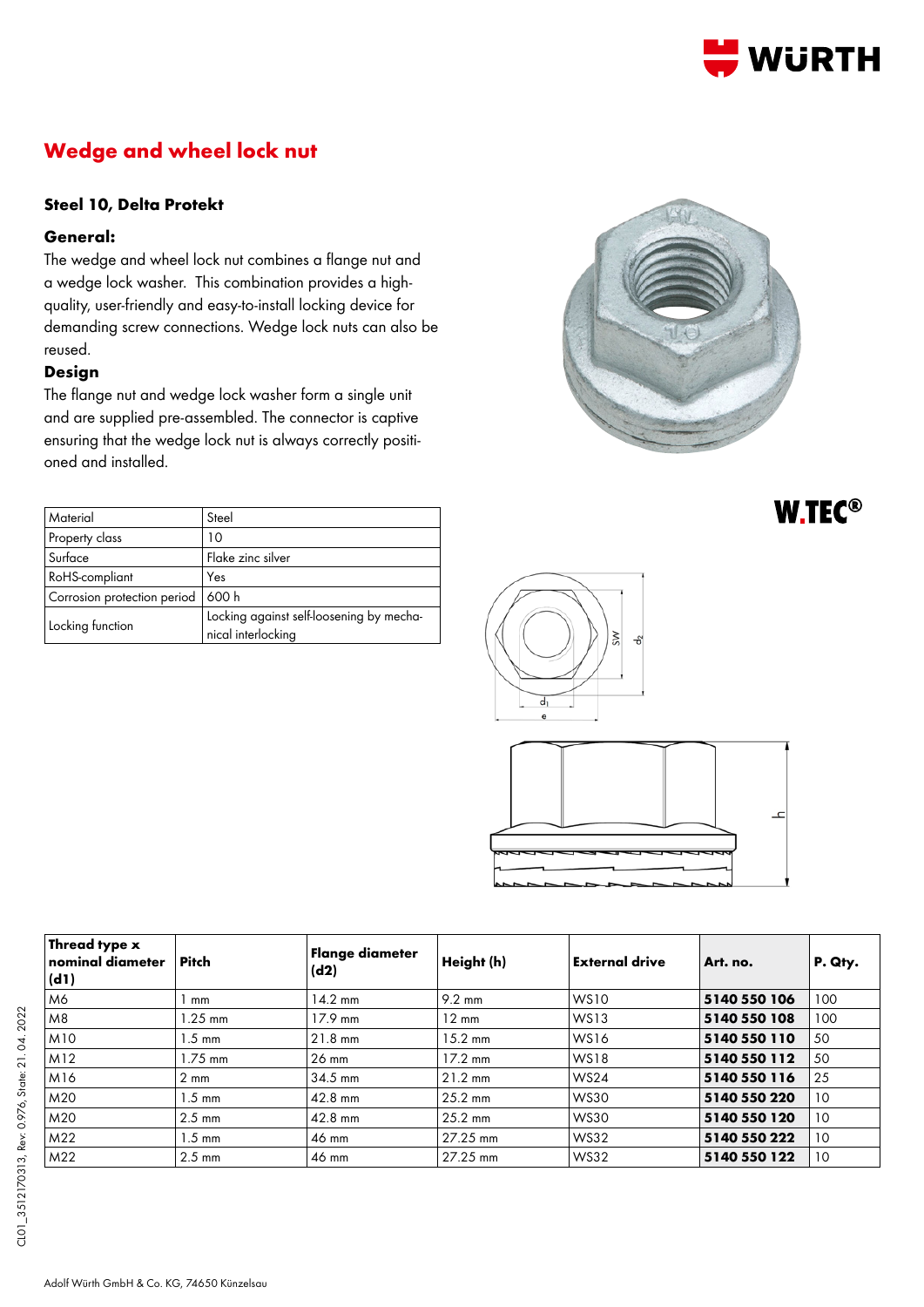

# **Wedge and wheel lock nut**

### **Steel 10, Delta Protekt**

#### **General:**

The wedge and wheel lock nut combines a flange nut and a wedge lock washer. This combination provides a highquality, user-friendly and easy-to-install locking device for demanding screw connections. Wedge lock nuts can also be reused.

### **Design**

The flange nut and wedge lock washer form a single unit and are supplied pre-assembled. The connector is captive ensuring that the wedge lock nut is always correctly positioned and installed.

| Material                    | Steel                                                          |  |  |
|-----------------------------|----------------------------------------------------------------|--|--|
| Property class              | 10                                                             |  |  |
| Surface                     | Flake zinc silver                                              |  |  |
| RoHS-compliant              | Yes                                                            |  |  |
| Corrosion protection period | 600 h                                                          |  |  |
| Locking function            | Locking against self-loosening by mecha-<br>nical interlocking |  |  |



**W.TEC®** 





| Thread type <b>x</b><br>nominal diameter<br>(d1) | <b>Pitch</b>     | Flange diameter<br>(d2) | Height (h)        | <b>External drive</b> | Art. no.     | P. Qty. |
|--------------------------------------------------|------------------|-------------------------|-------------------|-----------------------|--------------|---------|
| M6                                               | mm               | $14.2 \text{ mm}$       | $9.2 \text{ mm}$  | <b>WS10</b>           | 5140 550 106 | 100     |
| M8                                               | $1.25$ mm        | $17.9 \text{ mm}$       | $12 \text{ mm}$   | WS13                  | 5140 550 108 | 100     |
| M10                                              | $1.5 \text{ mm}$ | $21.8$ mm               | $15.2 \text{ mm}$ | <b>WS16</b>           | 5140 550 110 | 50      |
| M12                                              | $1.75$ mm        | $26 \text{ mm}$         | $17.2 \text{ mm}$ | <b>WS18</b>           | 5140 550 112 | 50      |
| M16                                              | $2 \text{ mm}$   | 34.5 mm                 | $21.2 \text{ mm}$ | <b>WS24</b>           | 5140 550 116 | 25      |
| M20                                              | $1.5 \text{ mm}$ | $42.8$ mm               | $25.2$ mm         | <b>WS30</b>           | 5140 550 220 | 10      |
| M20                                              | $2.5 \text{ mm}$ | $42.8$ mm               | $25.2 \text{ mm}$ | <b>WS30</b>           | 5140 550 120 | 10      |
| M22                                              | $1.5 \text{ mm}$ | 46 mm                   | 27.25 mm          | <b>WS32</b>           | 5140 550 222 | 10      |
| M22                                              | $2.5 \text{ mm}$ | 46 mm                   | 27.25 mm          | <b>WS32</b>           | 5140 550 122 | 10      |